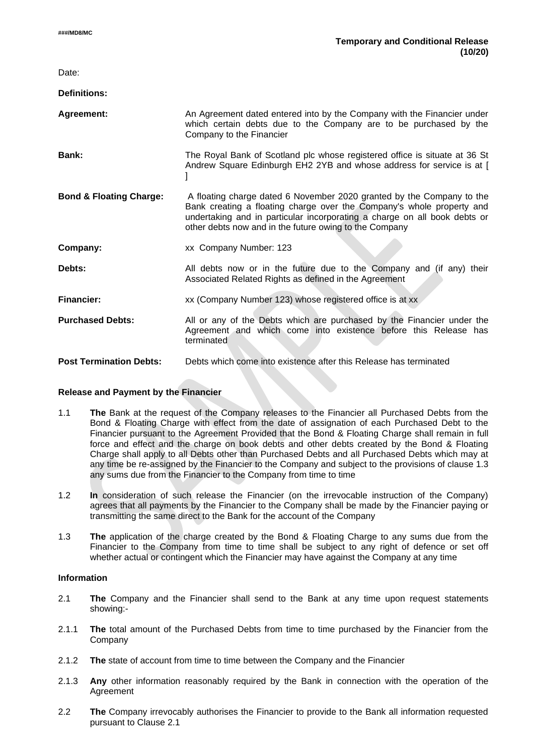$\overline{\phantom{a}}$ 

| Date:                              |                                                                                                                                                                                                                                                                                       |
|------------------------------------|---------------------------------------------------------------------------------------------------------------------------------------------------------------------------------------------------------------------------------------------------------------------------------------|
| <b>Definitions:</b>                |                                                                                                                                                                                                                                                                                       |
| Agreement:                         | An Agreement dated entered into by the Company with the Financier under<br>which certain debts due to the Company are to be purchased by the<br>Company to the Financier                                                                                                              |
| Bank:                              | The Royal Bank of Scotland plc whose registered office is situate at 36 St<br>Andrew Square Edinburgh EH2 2YB and whose address for service is at [                                                                                                                                   |
| <b>Bond &amp; Floating Charge:</b> | A floating charge dated 6 November 2020 granted by the Company to the<br>Bank creating a floating charge over the Company's whole property and<br>undertaking and in particular incorporating a charge on all book debts or<br>other debts now and in the future owing to the Company |
| Company:                           | xx Company Number: 123                                                                                                                                                                                                                                                                |
| Debts:                             | All debts now or in the future due to the Company and (if any) their<br>Associated Related Rights as defined in the Agreement                                                                                                                                                         |
| <b>Financier:</b>                  | xx (Company Number 123) whose registered office is at xx                                                                                                                                                                                                                              |
| <b>Purchased Debts:</b>            | All or any of the Debts which are purchased by the Financier under the<br>Agreement and which come into existence before this Release has<br>terminated                                                                                                                               |
| <b>Post Termination Debts:</b>     | Debts which come into existence after this Release has terminated                                                                                                                                                                                                                     |
|                                    |                                                                                                                                                                                                                                                                                       |

#### **Release and Payment by the Financier**

- 1.1 **The** Bank at the request of the Company releases to the Financier all Purchased Debts from the Bond & Floating Charge with effect from the date of assignation of each Purchased Debt to the Financier pursuant to the Agreement Provided that the Bond & Floating Charge shall remain in full force and effect and the charge on book debts and other debts created by the Bond & Floating Charge shall apply to all Debts other than Purchased Debts and all Purchased Debts which may at any time be re-assigned by the Financier to the Company and subject to the provisions of clause 1.3 any sums due from the Financier to the Company from time to time
- 1.2 **In** consideration of such release the Financier (on the irrevocable instruction of the Company) agrees that all payments by the Financier to the Company shall be made by the Financier paying or transmitting the same direct to the Bank for the account of the Company
- 1.3 **The** application of the charge created by the Bond & Floating Charge to any sums due from the Financier to the Company from time to time shall be subject to any right of defence or set off whether actual or contingent which the Financier may have against the Company at any time

#### **Information**

- 2.1 **The** Company and the Financier shall send to the Bank at any time upon request statements showing:-
- 2.1.1 **The** total amount of the Purchased Debts from time to time purchased by the Financier from the Company
- 2.1.2 **The** state of account from time to time between the Company and the Financier
- 2.1.3 **Any** other information reasonably required by the Bank in connection with the operation of the Agreement
- 2.2 **The** Company irrevocably authorises the Financier to provide to the Bank all information requested pursuant to Clause 2.1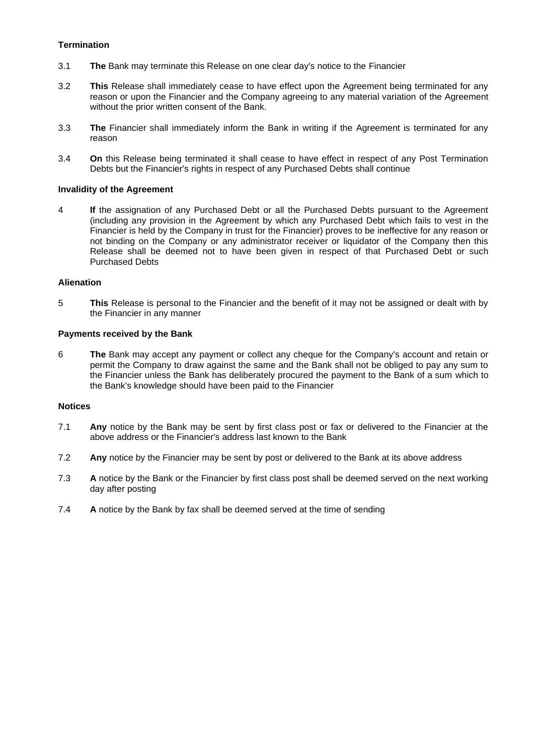# **Termination**

- 3.1 **The** Bank may terminate this Release on one clear day's notice to the Financier
- 3.2 **This** Release shall immediately cease to have effect upon the Agreement being terminated for any reason or upon the Financier and the Company agreeing to any material variation of the Agreement without the prior written consent of the Bank.
- 3.3 **The** Financier shall immediately inform the Bank in writing if the Agreement is terminated for any reason
- 3.4 **On** this Release being terminated it shall cease to have effect in respect of any Post Termination Debts but the Financier's rights in respect of any Purchased Debts shall continue

#### **Invalidity of the Agreement**

4 **If** the assignation of any Purchased Debt or all the Purchased Debts pursuant to the Agreement (including any provision in the Agreement by which any Purchased Debt which fails to vest in the Financier is held by the Company in trust for the Financier) proves to be ineffective for any reason or not binding on the Company or any administrator receiver or liquidator of the Company then this Release shall be deemed not to have been given in respect of that Purchased Debt or such Purchased Debts

## **Alienation**

5 **This** Release is personal to the Financier and the benefit of it may not be assigned or dealt with by the Financier in any manner

## **Payments received by the Bank**

6 **The** Bank may accept any payment or collect any cheque for the Company's account and retain or permit the Company to draw against the same and the Bank shall not be obliged to pay any sum to the Financier unless the Bank has deliberately procured the payment to the Bank of a sum which to the Bank's knowledge should have been paid to the Financier

## **Notices**

- 7.1 **Any** notice by the Bank may be sent by first class post or fax or delivered to the Financier at the above address or the Financier's address last known to the Bank
- 7.2 **Any** notice by the Financier may be sent by post or delivered to the Bank at its above address
- 7.3 **A** notice by the Bank or the Financier by first class post shall be deemed served on the next working day after posting
- 7.4 **A** notice by the Bank by fax shall be deemed served at the time of sending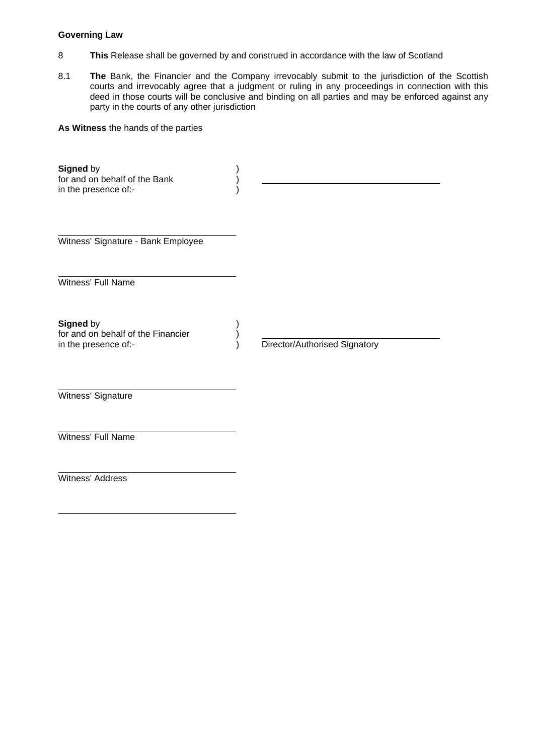## **Governing Law**

- 8 **This** Release shall be governed by and construed in accordance with the law of Scotland
- 8.1 **The** Bank, the Financier and the Company irrevocably submit to the jurisdiction of the Scottish courts and irrevocably agree that a judgment or ruling in any proceedings in connection with this deed in those courts will be conclusive and binding on all parties and may be enforced against any party in the courts of any other jurisdiction

**As Witness** the hands of the parties

| Signed by<br>for and on behalf of the Bank<br>in the presence of:-      |                               |
|-------------------------------------------------------------------------|-------------------------------|
| Witness' Signature - Bank Employee                                      |                               |
| Witness' Full Name                                                      |                               |
| Signed by<br>for and on behalf of the Financier<br>in the presence of:- | Director/Authorised Signatory |
| Witness' Signature                                                      |                               |
| Witness' Full Name                                                      |                               |
| Witness' Address                                                        |                               |
|                                                                         |                               |